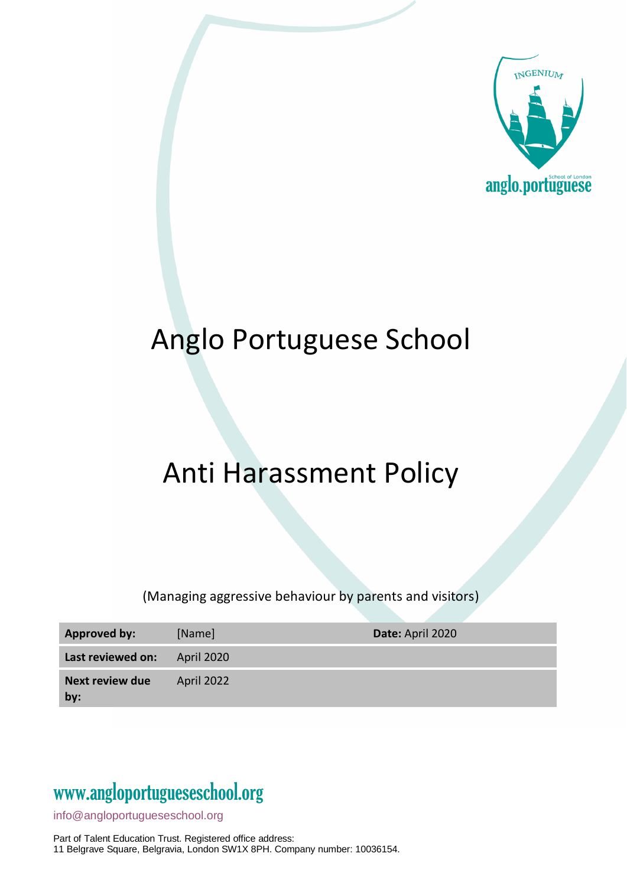

# Anglo Portuguese School

# Anti Harassment Policy

(Managing aggressive behaviour by parents and visitors)

| <b>Approved by:</b>           | [Name]     | Date: April 2020 |
|-------------------------------|------------|------------------|
| Last reviewed on:             | April 2020 |                  |
| <b>Next review due</b><br>by: | April 2022 |                  |

### www[.angloportugueseschool.org](https://angloportugueseschool.org/)

[info@a](mailto:info@)ngloportugueseschool.org

Part of Talent Education Trust. Registered office address: 11 Belgrave Square, Belgravia, London SW1X 8PH. Company number: 10036154.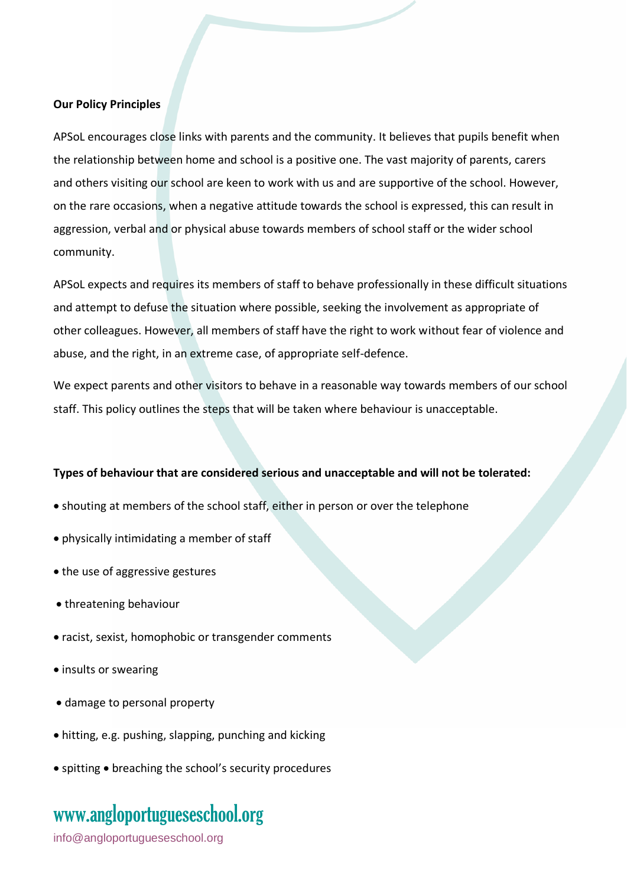#### **Our Policy Principles**

APSoL encourages close links with parents and the community. It believes that pupils benefit when the relationship between home and school is a positive one. The vast majority of parents, carers and others visiting our school are keen to work with us and are supportive of the school. However, on the rare occasions, when a negative attitude towards the school is expressed, this can result in aggression, verbal and or physical abuse towards members of school staff or the wider school community.

APSoL expects and requires its members of staff to behave professionally in these difficult situations and attempt to defuse the situation where possible, seeking the involvement as appropriate of other colleagues. However, all members of staff have the right to work without fear of violence and abuse, and the right, in an extreme case, of appropriate self-defence.

We expect parents and other visitors to behave in a reasonable way towards members of our school staff. This policy outlines the steps that will be taken where behaviour is unacceptable.

#### **Types of behaviour that are considered serious and unacceptable and will not be tolerated:**

- shouting at members of the school staff, either in person or over the telephone
- physically intimidating a member of staff
- the use of aggressive gestures
- threatening behaviour
- racist, sexist, homophobic or transgender comments
- insults or swearing
- damage to personal property
- hitting, e.g. pushing, slapping, punching and kicking
- spitting breaching the school's security procedures

### www[.angloportugueseschool.org](https://angloportugueseschool.org/)

[info@a](mailto:info@)ngloportugueseschool.org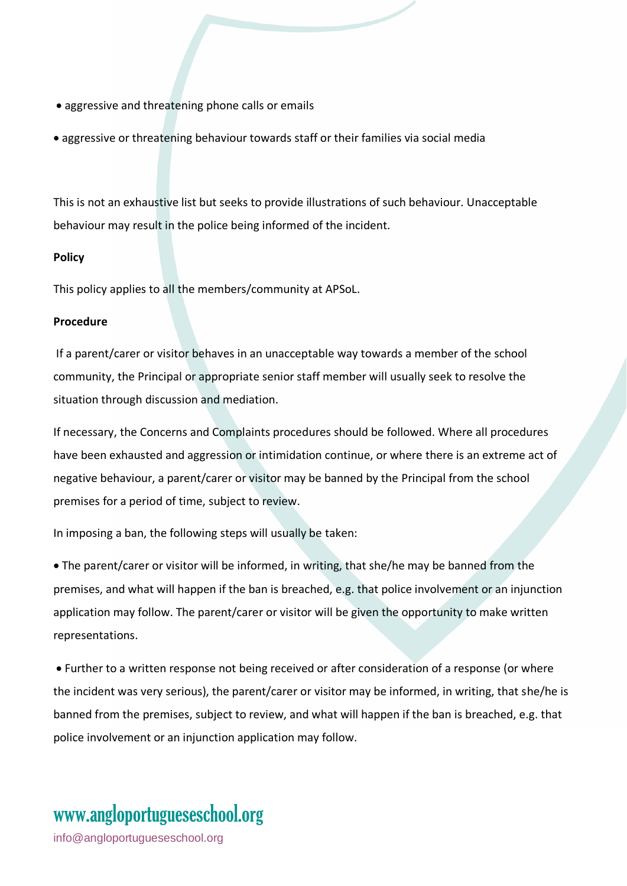- aggressive and threatening phone calls or emails
- aggressive or threatening behaviour towards staff or their families via social media

This is not an exhaustive list but seeks to provide illustrations of such behaviour. Unacceptable behaviour may result in the police being informed of the incident.

#### **Policy**

This policy applies to all the members/community at APSoL.

#### **Procedure**

If a parent/carer or visitor behaves in an unacceptable way towards a member of the school community, the Principal or appropriate senior staff member will usually seek to resolve the situation through discussion and mediation.

If necessary, the Concerns and Complaints procedures should be followed. Where all procedures have been exhausted and aggression or intimidation continue, or where there is an extreme act of negative behaviour, a parent/carer or visitor may be banned by the Principal from the school premises for a period of time, subject to review.

In imposing a ban, the following steps will usually be taken:

• The parent/carer or visitor will be informed, in writing, that she/he may be banned from the premises, and what will happen if the ban is breached, e.g. that police involvement or an injunction application may follow. The parent/carer or visitor will be given the opportunity to make written representations.

• Further to a written response not being received or after consideration of a response (or where the incident was very serious), the parent/carer or visitor may be informed, in writing, that she/he is banned from the premises, subject to review, and what will happen if the ban is breached, e.g. that police involvement or an injunction application may follow.

## www[.angloportugueseschool.org](https://angloportugueseschool.org/)

[info@a](mailto:info@)ngloportugueseschool.org